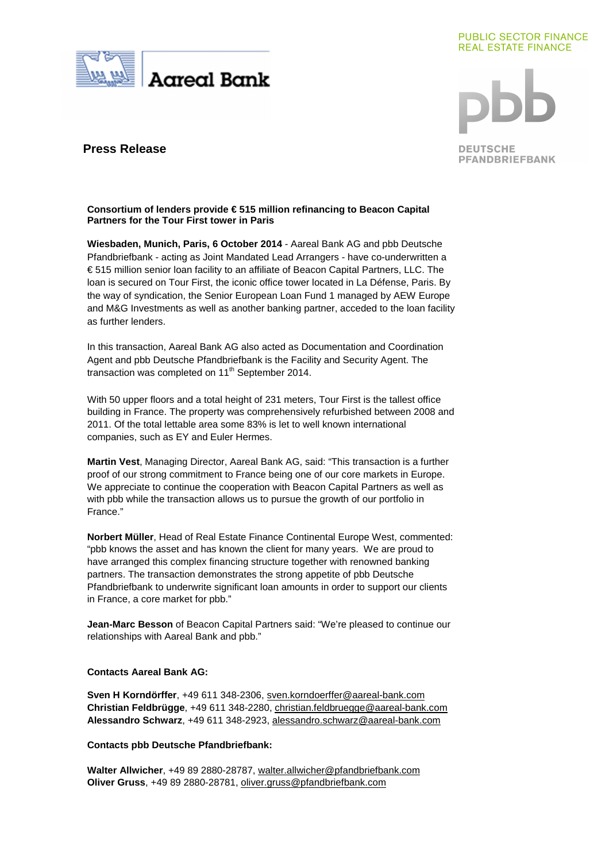

#### **PUBLIC SECTOR FINANCE REAL ESTATE FINANCE**

**DEUTSCHE PFANDBRIEFBANK** 

# **Press Release**

# **Consortium of lenders provide € 515 million refinancing to Beacon Capital Partners for the Tour First tower in Paris**

**Wiesbaden, Munich, Paris, 6 October 2014** - Aareal Bank AG and pbb Deutsche Pfandbriefbank - acting as Joint Mandated Lead Arrangers - have co-underwritten a € 515 million senior loan facility to an affiliate of Beacon Capital Partners, LLC. The loan is secured on Tour First, the iconic office tower located in La Défense, Paris. By the way of syndication, the Senior European Loan Fund 1 managed by AEW Europe and M&G Investments as well as another banking partner, acceded to the loan facility as further lenders.

In this transaction, Aareal Bank AG also acted as Documentation and Coordination Agent and pbb Deutsche Pfandbriefbank is the Facility and Security Agent. The transaction was completed on  $11<sup>th</sup>$  September 2014.

With 50 upper floors and a total height of 231 meters, Tour First is the tallest office building in France. The property was comprehensively refurbished between 2008 and 2011. Of the total lettable area some 83% is let to well known international companies, such as EY and Euler Hermes.

**Martin Vest**, Managing Director, Aareal Bank AG, said: "This transaction is a further proof of our strong commitment to France being one of our core markets in Europe. We appreciate to continue the cooperation with Beacon Capital Partners as well as with pbb while the transaction allows us to pursue the growth of our portfolio in France."

**Norbert Müller**, Head of Real Estate Finance Continental Europe West, commented: "pbb knows the asset and has known the client for many years. We are proud to have arranged this complex financing structure together with renowned banking partners. The transaction demonstrates the strong appetite of pbb Deutsche Pfandbriefbank to underwrite significant loan amounts in order to support our clients in France, a core market for pbb."

**Jean-Marc Besson** of Beacon Capital Partners said: "We're pleased to continue our relationships with Aareal Bank and pbb."

# **Contacts Aareal Bank AG:**

**Sven H Korndörffer**, +49 611 348-2306, sven.korndoerffer@aareal-bank.com **Christian Feldbrügge**, +49 611 348-2280, christian.feldbruegge@aareal-bank.com **Alessandro Schwarz**, +49 611 348-2923, alessandro.schwarz@aareal-bank.com

# **Contacts pbb Deutsche Pfandbriefbank:**

**Walter Allwicher**, +49 89 2880-28787, walter.allwicher@pfandbriefbank.com **Oliver Gruss**, +49 89 2880-28781, oliver.gruss@pfandbriefbank.com